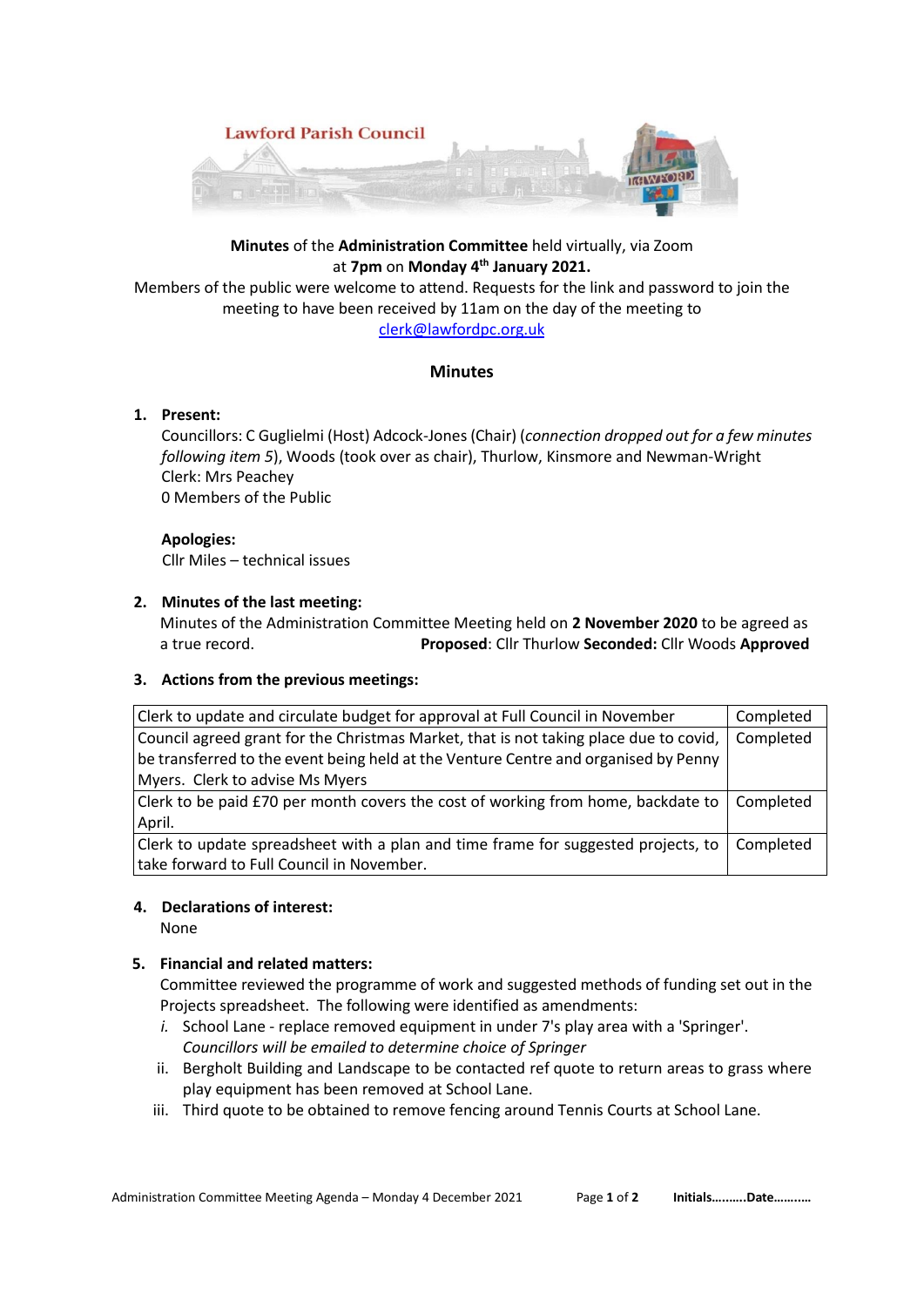

# **Minutes** of the **Administration Committee** held virtually, via Zoom at **7pm** on **Monday 4th January 2021.**

Members of the public were welcome to attend. Requests for the link and password to join the meeting to have been received by 11am on the day of the meeting to [clerk@lawfordpc.org.uk](mailto:clerk@lawfordpc.org.uk)

## **Minutes**

## **1. Present:**

 Councillors: C Guglielmi (Host) Adcock-Jones (Chair) (*connection dropped out for a few minutes following item 5*), Woods (took over as chair), Thurlow, Kinsmore and Newman-Wright Clerk: Mrs Peachey 0 Members of the Public

 **Apologies:** Cllr Miles – technical issues

## **2. Minutes of the last meeting:**

Minutes of the Administration Committee Meeting held on **2 November 2020** to be agreed as a true record. **Proposed**: Cllr Thurlow **Seconded:** Cllr Woods **Approved**

#### **3. Actions from the previous meetings:**

| Clerk to update and circulate budget for approval at Full Council in November         | Completed |
|---------------------------------------------------------------------------------------|-----------|
| Council agreed grant for the Christmas Market, that is not taking place due to covid, | Completed |
| be transferred to the event being held at the Venture Centre and organised by Penny   |           |
| Myers. Clerk to advise Ms Myers                                                       |           |
| Clerk to be paid £70 per month covers the cost of working from home, backdate to      | Completed |
| April.                                                                                |           |
| Clerk to update spreadsheet with a plan and time frame for suggested projects, to     | Completed |
| take forward to Full Council in November.                                             |           |

#### **4. Declarations of interest:**

None

## **5. Financial and related matters:**

Committee reviewed the programme of work and suggested methods of funding set out in the Projects spreadsheet. The following were identified as amendments:

- *i.* School Lane replace removed equipment in under 7's play area with a 'Springer'. *Councillors will be emailed to determine choice of Springer*
- ii. Bergholt Building and Landscape to be contacted ref quote to return areas to grass where play equipment has been removed at School Lane.
- iii. Third quote to be obtained to remove fencing around Tennis Courts at School Lane.